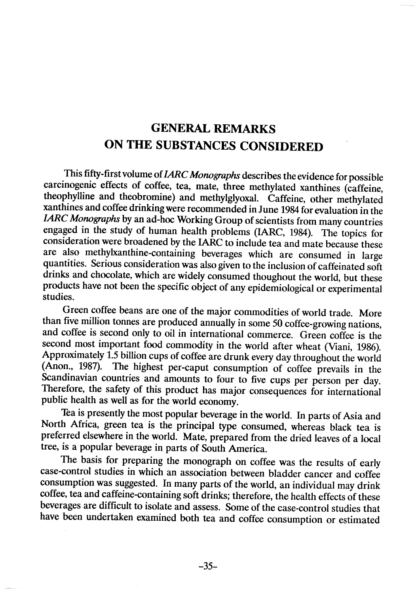## **GENERAL REMARKS** ON THE SUBSTANCES CONSIDERED

This fifty-first volume of *IARC Monographs* describes the evidence for possible carcinogenic effects of coffee, tea, mate, three methylated xanthines (caffeine, theophyllne and theobromine) and methylglyoxaL. Caffeine, other methylated xanthines and coffee drinking were recmmended in June 1984 for evaluation in the IARC Monographs by an ad-hoc Working Group of scientists from many countries engaged in the study of human health problems (IARC, 1984). The topics for consideration were broadened by the IARC to include tea and mate because these are also methylxanthine-containing beverages which are consumed in large quantities. Serious consideration was also given to the inclusion of caffeinated soft drinks and chocolate, which are widely consumed thoughout the world, but these products have not been the specifie object of any epidemiological or experimental studies.

Green coffee beans are one of the major commodities of world trade. More than five million tonnes are produced annually in some 50 coffee-growing nations, and coffee is second only to oil in international commerce. Green coffee is the second most important food commodity in the world after wheat (Viani, 1986). Approximately 1.5 bilion cups of coffee are drunk every day throughout the world (Anon., 1987). The highest per-caput consumption of coffee prevails in the Scandinavian countries and amounts to four to five cups per person per day. Therefore, the safety of this product has major consequences for international public health as well as for the world economy.

Tea is presently the most popular beverage in the world. ln parts of Asia and North Africa, green tea is the principal type consumed, whereas black tea is preferred elsewhere in the world. Mate, prepared from the dried leaves of a local tree, is a popular beverage in parts of South America.

The basis for preparing the monograph on coffee was the results of early case-control studies in which an association between bladder cancer and coffee consumption was suggested. ln many parts of the world, an individual may drink coffee, tea and caffeine-containing soft drinks; therefore, the health effects of these beverages are difficult to isolate and assess. Some of the case-control studies that have been undertaken examined both tea and coffee consumption or estimated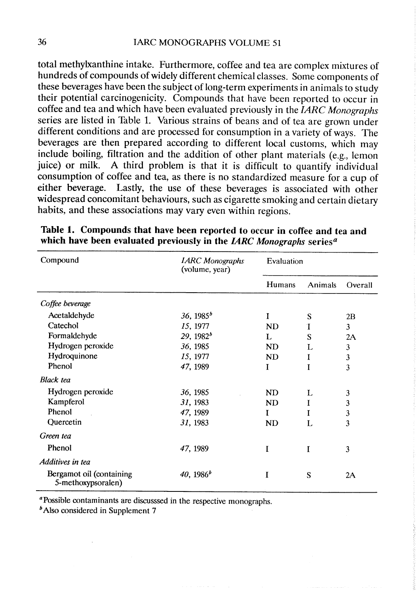## 36 IARC MONOGRAPHS VOLUME 51

total methylxanthine intake. Furthermore, coffee and tea are complex mixtures of hundreds of compounds of widely different chemical classes. Some components of these beverages have been the subject of long-term experiments in animals to study their potential carcinogenicity. Compounds that have been reported to occur in coffee and tea and which have been evaluated previously in the  $IARC$  Monographs series are listed in Table 1. Various strains of beans and of tea are grown under different conditions and are processed for consumption in a variety of ways. The beverages are then prepared according to different local customs, which may include boilng, filtration and the addition of other plant materials (e.g., lemon juice) or milk. A third problem is that it is difficult to quantify individual consumption of coffee and tea, as there is no standardized measure for a cup of either beverage. Lastly, the use of these beverages is associated with other widespread concomitant behaviours, such as cigarette smoking and certain dietary habits, and these associations may vary even within regions.

| Compound                                       | <b>IARC</b> Monographs<br>(volume, year)      | Evaluation                  |             |                           |
|------------------------------------------------|-----------------------------------------------|-----------------------------|-------------|---------------------------|
|                                                |                                               | Humans                      | Animals     | Overall                   |
| Coffee beverage                                |                                               |                             |             |                           |
| Acetaldehyde                                   | 36, 1985 <sup>b</sup>                         | I                           | S           | 2B                        |
| Catechol                                       | 15, 1977                                      | <b>ND</b>                   | I           | $\mathfrak{Z}$            |
| Formaldehyde                                   | 29, 1982 <sup>b</sup><br>36, 1985<br>15, 1977 | L<br><b>ND</b><br><b>ND</b> | S<br>L<br>I | 2A<br>3<br>$\mathfrak{Z}$ |
| Hydrogen peroxide                              |                                               |                             |             |                           |
| Hydroquinone                                   |                                               |                             |             |                           |
| Phenol                                         | 47, 1989                                      | I                           | I           | $\overline{3}$            |
| <b>Black</b> tea                               |                                               |                             |             |                           |
| Hydrogen peroxide                              | 36, 1985                                      | <b>ND</b>                   | L           | 3                         |
| Kampferol                                      | 31, 1983                                      | <b>ND</b>                   | I           | $\mathbf{3}$              |
| Phenol                                         | 47, 1989                                      | I                           |             | $\mathfrak{Z}$            |
| Quercetin                                      | 31, 1983                                      | <b>ND</b>                   | L           | $\overline{\mathbf{3}}$   |
| Green tea                                      |                                               |                             |             |                           |
| Phenol                                         | 47, 1989                                      | I                           | I           | 3                         |
| Additives in tea                               |                                               |                             |             |                           |
| Bergamot oil (containing<br>5-methoxypsoralen) | $40, 1986^b$                                  | I                           | S           | 2A                        |

|  | Table 1. Compounds that have been reported to occur in coffee and tea and                           |
|--|-----------------------------------------------------------------------------------------------------|
|  | which have been evaluated previously in the <i>IARC Monographs</i> series <sup><math>a</math></sup> |

<sup>a</sup> Possible contaminants are discusssed in the respective monographs.

 $<sup>b</sup>$  Also considered in Supplement 7</sup>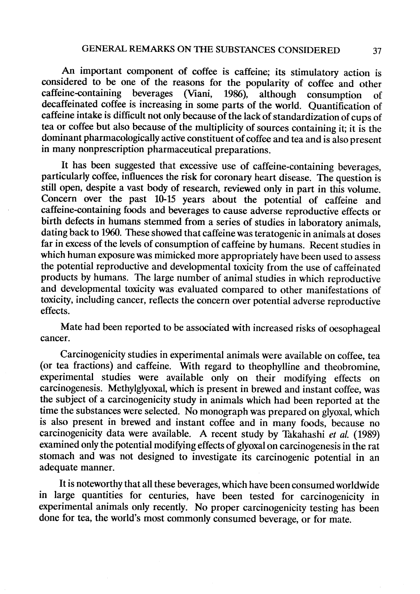An important component of coffee is caffeine; its stimulatory action is considered to be one of the reasons for the popularity of coffee and other caffeine-cntaining beverages (Viani, 1986), although consumption of decaffeinated coffee is increasing in some parts of the world. Quantification of caffeine intake is difficult not only because of the lack of standardization of cups of tea or coffee but also beause of the multiplicity of sources containing it; it is the dominant pharmacologically active constituent of coffee and tea and is also present in many nonprescription pharmaceutical preparations.

It has been suggested that excessive use of caffeine-containing beverages, particularly coffee, influences the risk for coronary heart disease. The question is still open, despite a vast body of research, reviewed only in part in this volume. Concern over the past 10-15 years about the potential of caffeine and caffeine-containing foods and beverages to cause adverse reproductive effects or birth defects in humans stemmed from a series of studies in laboratory animals, dating back to 1960. These showed that caffeine was teratogenic in animals at doses far in excess of the levels of consumption of caffeine by humans. Recent studies in which human exposure was mimicked more appropriately have been used to assess the potential reproductive and developmental toxicity from the use of caffeinated products by humans. The large number of animal studies in which reproductive and developmental toxicity was evaluated compared to other manifestations of toxicity, including cancer, reflects the concern over potential adverse reproductive effects.

Mate had been reported to be associated with increased risks of oesophageal cancer.

Carcinogenicity studies in experimental animaIs were available on coffee, tea (or tea fractions) and caffeine. With regard to theophylline and theobromine, experimental studies were available only on their modifying effects on carcinogenesis. Methylglyoxal, which is present in brewed and instant coffee, was the subject of a carcinogenicity study in animaIs which had been reported at the time the substances were selected. No monograph was prepared on glyoxal, which is also present in brewed and instant coffee and in many foods, because no carcinogenicity data were available. A recent study by Takahashi et al. (1989) examined only the potential modifying effects of glyoxal on carcinogenesis in the rat stomach and was not designed to investigate its carcinogenic potential in an adequate manner.

It is noteworthy that all these beverages, which have been consumed worldwide in large quantities for centuries, have been tested for carcinogenicity in experimental animals only recently. No proper carcinogenicity testing has been done for tea, the world's most commonly consumed beverage, or for mate.